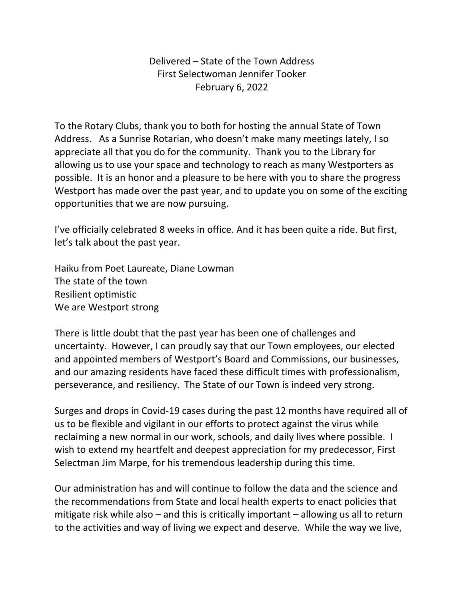Delivered – State of the Town Address First Selectwoman Jennifer Tooker February 6, 2022

To the Rotary Clubs, thank you to both for hosting the annual State of Town Address. As a Sunrise Rotarian, who doesn't make many meetings lately, I so appreciate all that you do for the community. Thank you to the Library for allowing us to use your space and technology to reach as many Westporters as possible. It is an honor and a pleasure to be here with you to share the progress Westport has made over the past year, and to update you on some of the exciting opportunities that we are now pursuing.

I've officially celebrated 8 weeks in office. And it has been quite a ride. But first, let's talk about the past year.

Haiku from Poet Laureate, Diane Lowman The state of the town Resilient optimistic We are Westport strong

There is little doubt that the past year has been one of challenges and uncertainty. However, I can proudly say that our Town employees, our elected and appointed members of Westport's Board and Commissions, our businesses, and our amazing residents have faced these difficult times with professionalism, perseverance, and resiliency. The State of our Town is indeed very strong.

Surges and drops in Covid-19 cases during the past 12 months have required all of us to be flexible and vigilant in our efforts to protect against the virus while reclaiming a new normal in our work, schools, and daily lives where possible. I wish to extend my heartfelt and deepest appreciation for my predecessor, First Selectman Jim Marpe, for his tremendous leadership during this time.

Our administration has and will continue to follow the data and the science and the recommendations from State and local health experts to enact policies that mitigate risk while also – and this is critically important – allowing us all to return to the activities and way of living we expect and deserve. While the way we live,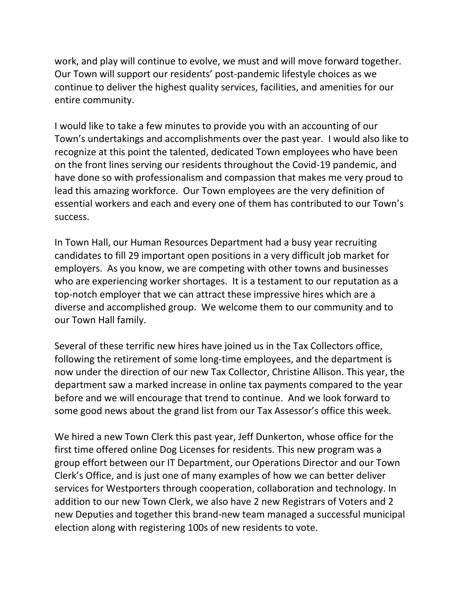work, and play will continue to evolve, we must and will move forward together. Our Town will support our residents' post-pandemic lifestyle choices as we continue to deliver the highest quality services, facilities, and amenities for our entire community.

I would like to take a few minutes to provide you with an accounting of our Town's undertakings and accomplishments over the past year. I would also like to recognize at this point the talented, dedicated Town employees who have been on the front lines serving our residents throughout the Covid-19 pandemic, and have done so with professionalism and compassion that makes me very proud to lead this amazing workforce. Our Town employees are the very definition of essential workers and each and every one of them has contributed to our Town's success.

In Town Hall, our Human Resources Department had a busy year recruiting candidates to fill 29 important open positions in a very difficult job market for employers. As you know, we are competing with other towns and businesses who are experiencing worker shortages. It is a testament to our reputation as a top-notch employer that we can attract these impressive hires which are a diverse and accomplished group. We welcome them to our community and to our Town Hall family.

Several of these terrific new hires have joined us in the Tax Collectors office, following the retirement of some long-time employees, and the department is now under the direction of our new Tax Collector, Christine Allison. This year, the department saw a marked increase in online tax payments compared to the year before and we will encourage that trend to continue. And we look forward to some good news about the grand list from our Tax Assessor's office this week.

We hired a new Town Clerk this past year, Jeff Dunkerton, whose office for the first time offered online Dog Licenses for residents. This new program was a group effort between our IT Department, our Operations Director and our Town Clerk's Office, and is just one of many examples of how we can better deliver services for Westporters through cooperation, collaboration and technology. In addition to our new Town Clerk, we also have 2 new Registrars of Voters and 2 new Deputies and together this brand-new team managed a successful municipal election along with registering 100s of new residents to vote.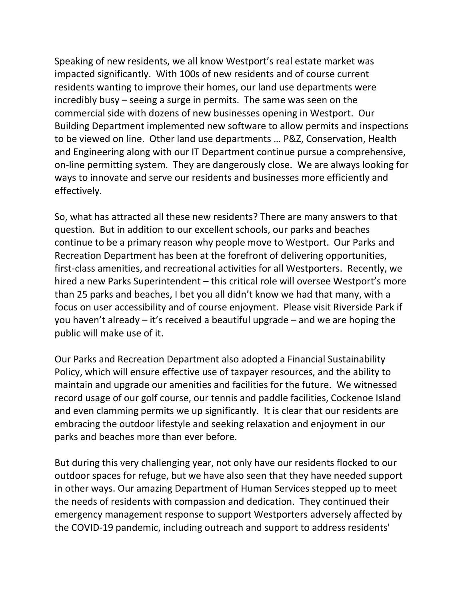Speaking of new residents, we all know Westport's real estate market was impacted significantly. With 100s of new residents and of course current residents wanting to improve their homes, our land use departments were incredibly busy – seeing a surge in permits. The same was seen on the commercial side with dozens of new businesses opening in Westport. Our Building Department implemented new software to allow permits and inspections to be viewed on line. Other land use departments … P&Z, Conservation, Health and Engineering along with our IT Department continue pursue a comprehensive, on-line permitting system. They are dangerously close. We are always looking for ways to innovate and serve our residents and businesses more efficiently and effectively.

So, what has attracted all these new residents? There are many answers to that question. But in addition to our excellent schools, our parks and beaches continue to be a primary reason why people move to Westport. Our Parks and Recreation Department has been at the forefront of delivering opportunities, first-class amenities, and recreational activities for all Westporters. Recently, we hired a new Parks Superintendent – this critical role will oversee Westport's more than 25 parks and beaches, I bet you all didn't know we had that many, with a focus on user accessibility and of course enjoyment. Please visit Riverside Park if you haven't already – it's received a beautiful upgrade – and we are hoping the public will make use of it.

Our Parks and Recreation Department also adopted a Financial Sustainability Policy, which will ensure effective use of taxpayer resources, and the ability to maintain and upgrade our amenities and facilities for the future. We witnessed record usage of our golf course, our tennis and paddle facilities, Cockenoe Island and even clamming permits we up significantly. It is clear that our residents are embracing the outdoor lifestyle and seeking relaxation and enjoyment in our parks and beaches more than ever before.

But during this very challenging year, not only have our residents flocked to our outdoor spaces for refuge, but we have also seen that they have needed support in other ways. Our amazing Department of Human Services stepped up to meet the needs of residents with compassion and dedication. They continued their emergency management response to support Westporters adversely affected by the COVID-19 pandemic, including outreach and support to address residents'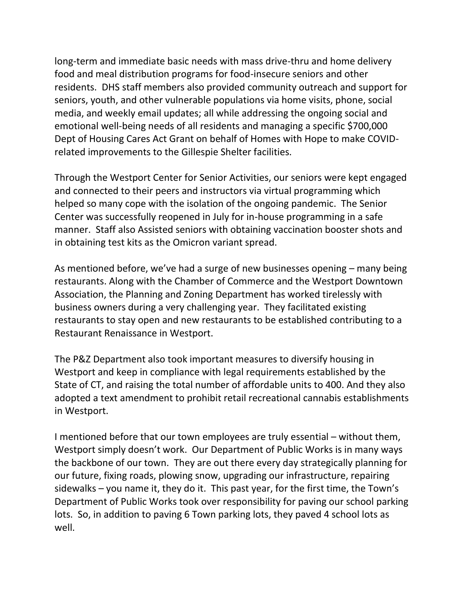long-term and immediate basic needs with mass drive-thru and home delivery food and meal distribution programs for food-insecure seniors and other residents. DHS staff members also provided community outreach and support for seniors, youth, and other vulnerable populations via home visits, phone, social media, and weekly email updates; all while addressing the ongoing social and emotional well-being needs of all residents and managing a specific \$700,000 Dept of Housing Cares Act Grant on behalf of Homes with Hope to make COVIDrelated improvements to the Gillespie Shelter facilities.

Through the Westport Center for Senior Activities, our seniors were kept engaged and connected to their peers and instructors via virtual programming which helped so many cope with the isolation of the ongoing pandemic. The Senior Center was successfully reopened in July for in-house programming in a safe manner. Staff also Assisted seniors with obtaining vaccination booster shots and in obtaining test kits as the Omicron variant spread.

As mentioned before, we've had a surge of new businesses opening – many being restaurants. Along with the Chamber of Commerce and the Westport Downtown Association, the Planning and Zoning Department has worked tirelessly with business owners during a very challenging year. They facilitated existing restaurants to stay open and new restaurants to be established contributing to a Restaurant Renaissance in Westport.

The P&Z Department also took important measures to diversify housing in Westport and keep in compliance with legal requirements established by the State of CT, and raising the total number of affordable units to 400. And they also adopted a text amendment to prohibit retail recreational cannabis establishments in Westport.

I mentioned before that our town employees are truly essential – without them, Westport simply doesn't work. Our Department of Public Works is in many ways the backbone of our town. They are out there every day strategically planning for our future, fixing roads, plowing snow, upgrading our infrastructure, repairing sidewalks – you name it, they do it. This past year, for the first time, the Town's Department of Public Works took over responsibility for paving our school parking lots. So, in addition to paving 6 Town parking lots, they paved 4 school lots as well.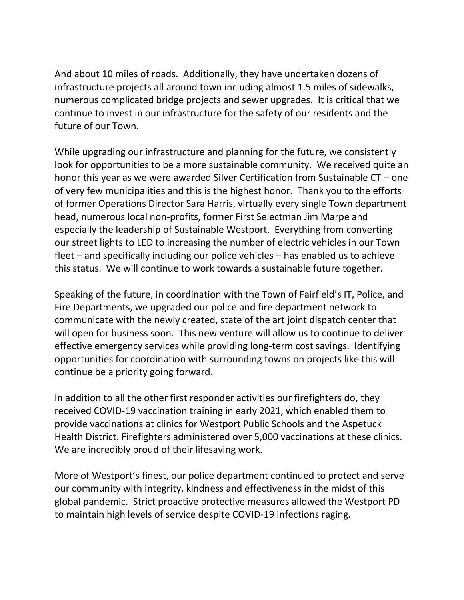And about 10 miles of roads. Additionally, they have undertaken dozens of infrastructure projects all around town including almost 1.5 miles of sidewalks, numerous complicated bridge projects and sewer upgrades. It is critical that we continue to invest in our infrastructure for the safety of our residents and the future of our Town.

While upgrading our infrastructure and planning for the future, we consistently look for opportunities to be a more sustainable community. We received quite an honor this year as we were awarded Silver Certification from Sustainable CT – one of very few municipalities and this is the highest honor. Thank you to the efforts of former Operations Director Sara Harris, virtually every single Town department head, numerous local non-profits, former First Selectman Jim Marpe and especially the leadership of Sustainable Westport. Everything from converting our street lights to LED to increasing the number of electric vehicles in our Town fleet – and specifically including our police vehicles – has enabled us to achieve this status. We will continue to work towards a sustainable future together.

Speaking of the future, in coordination with the Town of Fairfield's IT, Police, and Fire Departments, we upgraded our police and fire department network to communicate with the newly created, state of the art joint dispatch center that will open for business soon. This new venture will allow us to continue to deliver effective emergency services while providing long-term cost savings. Identifying opportunities for coordination with surrounding towns on projects like this will continue be a priority going forward*.* 

In addition to all the other first responder activities our firefighters do, they received COVID-19 vaccination training in early 2021, which enabled them to provide vaccinations at clinics for Westport Public Schools and the Aspetuck Health District. Firefighters administered over 5,000 vaccinations at these clinics. We are incredibly proud of their lifesaving work.

More of Westport's finest, our police department continued to protect and serve our community with integrity, kindness and effectiveness in the midst of this global pandemic. Strict proactive protective measures allowed the Westport PD to maintain high levels of service despite COVID-19 infections raging.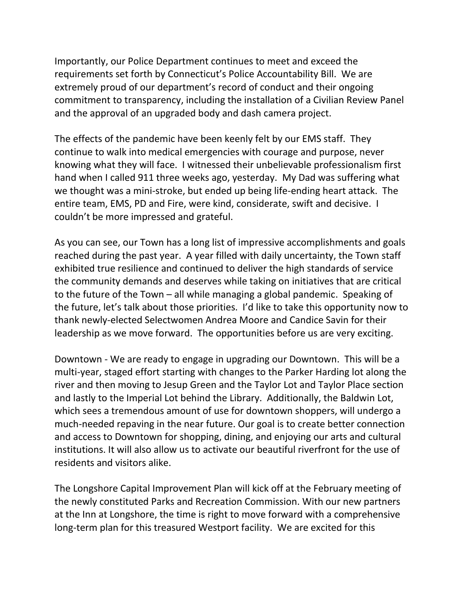Importantly, our Police Department continues to meet and exceed the requirements set forth by Connecticut's Police Accountability Bill. We are extremely proud of our department's record of conduct and their ongoing commitment to transparency, including the installation of a Civilian Review Panel and the approval of an upgraded body and dash camera project.

The effects of the pandemic have been keenly felt by our EMS staff. They continue to walk into medical emergencies with courage and purpose, never knowing what they will face. I witnessed their unbelievable professionalism first hand when I called 911 three weeks ago, yesterday. My Dad was suffering what we thought was a mini-stroke, but ended up being life-ending heart attack. The entire team, EMS, PD and Fire, were kind, considerate, swift and decisive. I couldn't be more impressed and grateful.

As you can see, our Town has a long list of impressive accomplishments and goals reached during the past year. A year filled with daily uncertainty, the Town staff exhibited true resilience and continued to deliver the high standards of service the community demands and deserves while taking on initiatives that are critical to the future of the Town – all while managing a global pandemic. Speaking of the future, let's talk about those priorities. I'd like to take this opportunity now to thank newly-elected Selectwomen Andrea Moore and Candice Savin for their leadership as we move forward. The opportunities before us are very exciting.

Downtown - We are ready to engage in upgrading our Downtown. This will be a multi-year, staged effort starting with changes to the Parker Harding lot along the river and then moving to Jesup Green and the Taylor Lot and Taylor Place section and lastly to the Imperial Lot behind the Library. Additionally, the Baldwin Lot, which sees a tremendous amount of use for downtown shoppers, will undergo a much-needed repaving in the near future. Our goal is to create better connection and access to Downtown for shopping, dining, and enjoying our arts and cultural institutions. It will also allow us to activate our beautiful riverfront for the use of residents and visitors alike.

The Longshore Capital Improvement Plan will kick off at the February meeting of the newly constituted Parks and Recreation Commission. With our new partners at the Inn at Longshore, the time is right to move forward with a comprehensive long-term plan for this treasured Westport facility. We are excited for this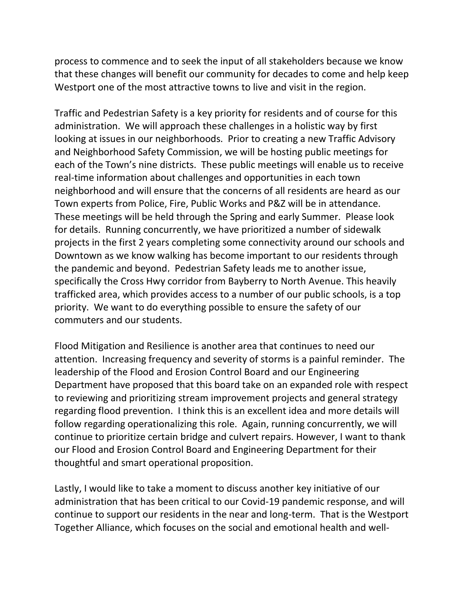process to commence and to seek the input of all stakeholders because we know that these changes will benefit our community for decades to come and help keep Westport one of the most attractive towns to live and visit in the region.

Traffic and Pedestrian Safety is a key priority for residents and of course for this administration. We will approach these challenges in a holistic way by first looking at issues in our neighborhoods. Prior to creating a new Traffic Advisory and Neighborhood Safety Commission, we will be hosting public meetings for each of the Town's nine districts. These public meetings will enable us to receive real-time information about challenges and opportunities in each town neighborhood and will ensure that the concerns of all residents are heard as our Town experts from Police, Fire, Public Works and P&Z will be in attendance. These meetings will be held through the Spring and early Summer. Please look for details. Running concurrently, we have prioritized a number of sidewalk projects in the first 2 years completing some connectivity around our schools and Downtown as we know walking has become important to our residents through the pandemic and beyond. Pedestrian Safety leads me to another issue, specifically the Cross Hwy corridor from Bayberry to North Avenue. This heavily trafficked area, which provides access to a number of our public schools, is a top priority. We want to do everything possible to ensure the safety of our commuters and our students.

Flood Mitigation and Resilience is another area that continues to need our attention. Increasing frequency and severity of storms is a painful reminder. The leadership of the Flood and Erosion Control Board and our Engineering Department have proposed that this board take on an expanded role with respect to reviewing and prioritizing stream improvement projects and general strategy regarding flood prevention. I think this is an excellent idea and more details will follow regarding operationalizing this role. Again, running concurrently, we will continue to prioritize certain bridge and culvert repairs. However, I want to thank our Flood and Erosion Control Board and Engineering Department for their thoughtful and smart operational proposition.

Lastly, I would like to take a moment to discuss another key initiative of our administration that has been critical to our Covid-19 pandemic response, and will continue to support our residents in the near and long-term. That is the Westport Together Alliance, which focuses on the social and emotional health and well-